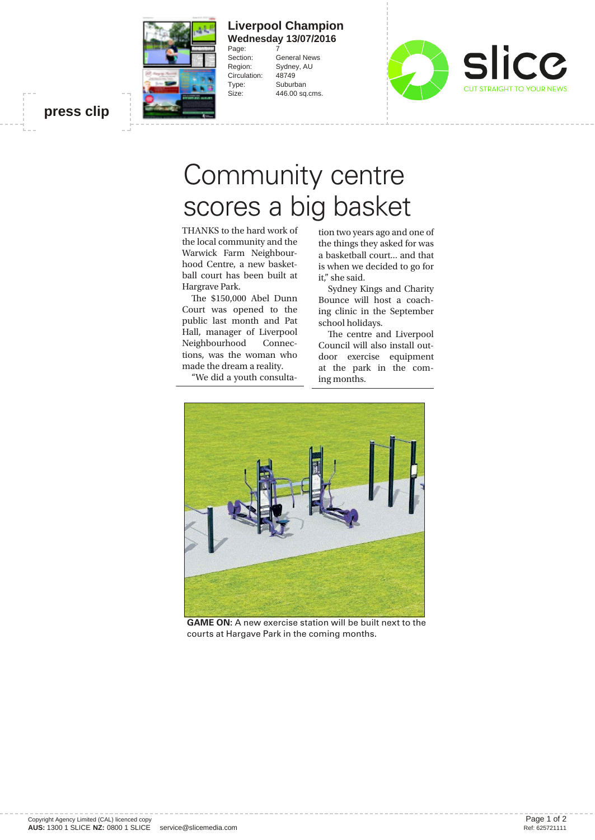

## **Liverpool Champion Wednesday 13/07/2016** Page:<br>Section:

General News Region: Sydney, AU Circulation: 48749 Type: Suburban Size: 446.00 sq.cms.



**press clip**

## Community centre<br>scores a big basket

THANKS to the hard work of  $\frac{1}{2}$  to the hard work of  $\frac{1}{2}$  to the hard work of  $\frac{1}{2}$  the hard work of  $\frac{1}{2}$  the hard space of free space of free space of free space of free space of free space of free spac the local community and the Warwick Farm Neighbourhood Centre, a new basketball court has been built at Hargrave Park.

The \$150,000 Abel Dunn Court was opened to the public last month and Pat Hall, manager of Liverpool Neighbourhood Connections, was the woman who made the dream a reality.

"We did a youth consulta-

tion two years ago and one of the things they asked for was a basketball court... and that is when we decided to go for it," she said.

Sydney Kings and Charity Bounce will host a coaching clinic in the September school holidays.

The centre and Liverpool Council will also install outdoor exercise equipment at the park in the coming months.



**GAME ON:** A new exercise station will be built next to the courts at Hargave Park in the coming months.